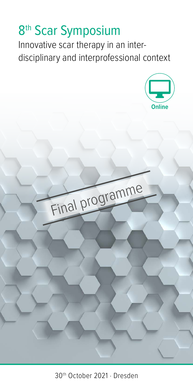# 8<sup>th</sup> Scar Symposium

Innovative scar therapy in an interdisciplinary and interprofessional context

Final programme



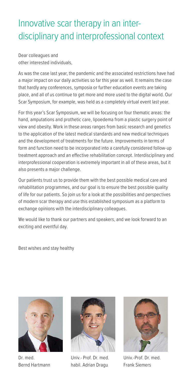### Innovative scar therapy in an interdisciplinary and interprofessional context

Dear colleagues and other interested individuals,

As was the case last year, the pandemic and the associated restrictions have had a major impact on our daily activities so far this year as well. It remains the case that hardly any conferences, symposia or further education events are taking place, and all of us continue to get more and more used to the digital world. Our Scar Symposium, for example, was held as a completely virtual event last year.

For this year's Scar Symposium, we will be focusing on four thematic areas: the hand, amputations and prothetic care, lipoedema from a plastic surgery point of view and obesity. Work in these areas ranges from basic research and genetics to the application of the latest medical standards and new medical techniques and the development of treatments for the future. Improvements in terms of form and function need to be incorporated into a carefully considered follow-up treatment approach and an effective rehabilitation concept. Interdisciplinary and interprofessional cooperation is extremely important in all of these areas, but it also presents a major challenge.

Our patients trust us to provide them with the best possible medical care and rehabilitation programmes, and our goal is to ensure the best possible quality of life for our patients. So join us for a look at the possibilities and perspectives of modern scar therapy and use this established symposium as a platform to exchange opinions with the interdisciplinary colleagues.

We would like to thank our partners and speakers, and we look forward to an exciting and eventful day.

Best wishes and stay healthy



Dr. med. Bernd Hartmann



Univ.- Prof. Dr. med. habil. Adrian Dragu



Univ.-Prof. Dr. med. Frank Siemers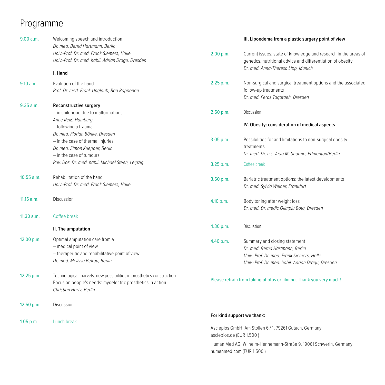## Programme

| 9.00 a.m.  | Welcoming speech and introduction<br>Dr. med. Bernd Hartmann, Berlin |                            | III. Lipoedema from a plastic surgery point of view                                                                                                                                                                                                                                                                                                                                  |  |
|------------|----------------------------------------------------------------------|----------------------------|--------------------------------------------------------------------------------------------------------------------------------------------------------------------------------------------------------------------------------------------------------------------------------------------------------------------------------------------------------------------------------------|--|
|            | Univ.-Prof. Dr. med. Frank Siemers, Halle                            | 2.00 p.m.                  | Current issues: state of knowledge and research in the areas of                                                                                                                                                                                                                                                                                                                      |  |
|            | Univ.-Prof. Dr. med. habil. Adrian Dragu, Dresden                    |                            | genetics, nutritional advice and differentiation of obesity                                                                                                                                                                                                                                                                                                                          |  |
|            | I. Hand                                                              |                            | Dr. med. Anna-Theresa Lipp, Munich                                                                                                                                                                                                                                                                                                                                                   |  |
| 9.10 a.m.  | Evolution of the hand                                                | 2.25 p.m.                  | Non-surgical and surgical treatment options and the associated                                                                                                                                                                                                                                                                                                                       |  |
|            | Prof. Dr. med. Frank Unglaub, Bad Rappenau                           |                            | follow-up treatments                                                                                                                                                                                                                                                                                                                                                                 |  |
|            |                                                                      |                            | Dr. med. Feras Taqatqeh, Dresden                                                                                                                                                                                                                                                                                                                                                     |  |
| 9.35 a.m.  | <b>Reconstructive surgery</b>                                        |                            |                                                                                                                                                                                                                                                                                                                                                                                      |  |
|            | - in childhood due to malformations                                  | 2.50 p.m.                  | Discussion                                                                                                                                                                                                                                                                                                                                                                           |  |
|            | Anne Reiß, Hamburg                                                   |                            |                                                                                                                                                                                                                                                                                                                                                                                      |  |
|            | — following a trauma                                                 |                            | IV. Obesity: consideration of medical aspects                                                                                                                                                                                                                                                                                                                                        |  |
|            | Dr. med. Florian Bönke, Dresden                                      |                            |                                                                                                                                                                                                                                                                                                                                                                                      |  |
|            | - in the case of thermal injuries                                    | 3.05 p.m.                  | Possibilities for and limitations to non-surgical obesity                                                                                                                                                                                                                                                                                                                            |  |
|            | Dr. med. Simon Kuepper, Berlin                                       |                            | treatments                                                                                                                                                                                                                                                                                                                                                                           |  |
|            | - in the case of tumours                                             |                            | Dr. med. Dr. h.c. Arya M. Sharma, Edmonton/Berlin                                                                                                                                                                                                                                                                                                                                    |  |
|            | Priv. Doz. Dr. med. habil. Michael Steen, Leipzig                    | 3.25 p.m.                  | Coffee break                                                                                                                                                                                                                                                                                                                                                                         |  |
| 10.55 a.m. | Rehabilitation of the hand                                           | 3.50 p.m.                  | Bariatric treatment options: the latest developments                                                                                                                                                                                                                                                                                                                                 |  |
|            | Univ.-Prof. Dr. med. Frank Siemers, Halle                            |                            | Dr. med. Sylvia Weiner, Frankfurt                                                                                                                                                                                                                                                                                                                                                    |  |
| 11.15 a.m. | Discussion                                                           | 4.10 p.m.                  | Body toning after weight loss                                                                                                                                                                                                                                                                                                                                                        |  |
|            |                                                                      |                            | Dr. med. Dr. medic Olimpiu Bota, Dresden                                                                                                                                                                                                                                                                                                                                             |  |
| 11.30 a.m. | Coffee break                                                         |                            |                                                                                                                                                                                                                                                                                                                                                                                      |  |
|            | II. The amputation                                                   | 4.30 p.m.                  | Discussion                                                                                                                                                                                                                                                                                                                                                                           |  |
|            | Optimal amputation care from a                                       |                            |                                                                                                                                                                                                                                                                                                                                                                                      |  |
| 12.00 p.m. | - medical point of view                                              | 4.40 p.m.                  | Summary and closing statement                                                                                                                                                                                                                                                                                                                                                        |  |
|            | - therapeutic and rehabilitative point of view                       |                            | Dr. med. Bernd Hartmann, Berlin                                                                                                                                                                                                                                                                                                                                                      |  |
|            | Dr. med. Melissa Beirau, Berlin                                      |                            | Univ.-Prof. Dr. med. Frank Siemers, Halle                                                                                                                                                                                                                                                                                                                                            |  |
|            |                                                                      |                            | Univ.-Prof. Dr. med. habil. Adrian Dragu, Dresden                                                                                                                                                                                                                                                                                                                                    |  |
| 12.25 p.m. | Technological marvels: new possibilities in prosthetics construction |                            | Please refrain from taking photos or filming. Thank you very much!                                                                                                                                                                                                                                                                                                                   |  |
|            | Focus on people's needs: myoelectric prosthetics in action           |                            |                                                                                                                                                                                                                                                                                                                                                                                      |  |
|            | Christian Hartz, Berlin                                              |                            |                                                                                                                                                                                                                                                                                                                                                                                      |  |
| 12.50 p.m. | Discussion                                                           |                            |                                                                                                                                                                                                                                                                                                                                                                                      |  |
|            |                                                                      | For kind support we thank: |                                                                                                                                                                                                                                                                                                                                                                                      |  |
| 1.05 p.m.  | Lunch break                                                          |                            |                                                                                                                                                                                                                                                                                                                                                                                      |  |
|            |                                                                      |                            | Asclepios GmbH, Am Stollen 6 / 1, 79261 Gutach, Germany                                                                                                                                                                                                                                                                                                                              |  |
|            |                                                                      | asclepios.de (EUR 1.500)   | $\overline{a}$ $\overline{a}$ $\overline{a}$ $\overline{a}$ $\overline{a}$ $\overline{a}$ $\overline{a}$ $\overline{a}$ $\overline{a}$ $\overline{a}$ $\overline{a}$ $\overline{a}$ $\overline{a}$ $\overline{a}$ $\overline{a}$ $\overline{a}$ $\overline{a}$ $\overline{a}$ $\overline{a}$ $\overline{a}$ $\overline{a}$ $\overline{a}$ $\overline{a}$ $\overline{a}$ $\overline{$ |  |
|            |                                                                      |                            |                                                                                                                                                                                                                                                                                                                                                                                      |  |

Human Med AG, Wilhelm-Hennemann-Straße 9, 19061 Schwerin, Germany humanmed.com (EUR 1.500 )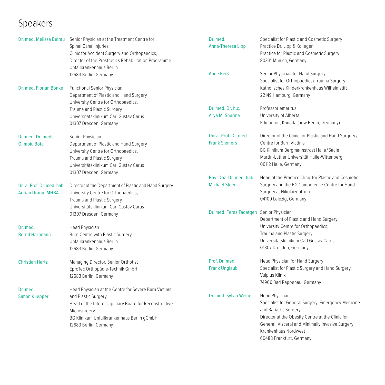# Speakers

|                           | Dr. med. Melissa Beirau Senior Physician at the Treatment Centre for<br>Spinal Canal Injuries<br>Clinic for Accident Surgery and Orthopaedics,<br>Director of the Prosthetics Rehabilitation Programme<br>Unfallkrankenhaus Berlin | Dr. med.<br>Anna-Theresa Lipp            | Specialist for Plastic and Cosmetic Surgery<br>Practice Dr. Lipp & Kollegen<br>Practice for Plastic and Cosmetic Surgery<br>80331 Munich, Germany |
|---------------------------|------------------------------------------------------------------------------------------------------------------------------------------------------------------------------------------------------------------------------------|------------------------------------------|---------------------------------------------------------------------------------------------------------------------------------------------------|
|                           | 12683 Berlin, Germany                                                                                                                                                                                                              | <b>Anne Reiß</b>                         | Senior Physician for Hand Surgery<br>Specialist for Orthopaedics/Trauma Surgery                                                                   |
| Dr. med. Florian Bönke    | <b>Functional Senior Physician</b><br>Department of Plastic and Hand Surgery<br>University Centre for Orthopaedics,                                                                                                                |                                          | Katholisches Kinderkrankenhaus Wilhelmstift<br>22149 Hamburg, Germany                                                                             |
|                           | Trauma and Plastic Surgery                                                                                                                                                                                                         | Dr. med. Dr. h.c.                        | Professor emeritus                                                                                                                                |
|                           | Universitätsklinikum Carl Gustav Carus                                                                                                                                                                                             | Arya M. Sharma                           | University of Alberta                                                                                                                             |
|                           | 01307 Dresden, Germany                                                                                                                                                                                                             |                                          | Edmonton, Kanada (now Berlin, Germany)                                                                                                            |
| Dr. med. Dr. medic        | Senior Physician                                                                                                                                                                                                                   | Univ.- Prof. Dr. med.                    | Director of the Clinic for Plastic and Hand Surgery /                                                                                             |
| <b>Olimpiu Bota</b>       | Department of Plastic and Hand Surgery                                                                                                                                                                                             | <b>Frank Siemers</b>                     | Centre for Burn Victims                                                                                                                           |
|                           | University Centre for Orthopaedics,                                                                                                                                                                                                |                                          | BG Klinikum Bergmannstrost Halle/Saale                                                                                                            |
|                           | Trauma and Plastic Surgery                                                                                                                                                                                                         |                                          | Martin-Luther Universität Halle-Wittenberg                                                                                                        |
|                           | Universitätsklinikum Carl Gustav Carus<br>01307 Dresden, Germany                                                                                                                                                                   |                                          | 06112 Halle, Germany                                                                                                                              |
|                           |                                                                                                                                                                                                                                    |                                          | Priv. Doz. Dr. med. habil. Head of the Practice Clinic for Plastic and Cosmetic                                                                   |
|                           | Univ.- Prof. Dr. med. habil. Director of the Department of Plastic and Hand Surgery                                                                                                                                                | <b>Michael Steen</b>                     | Surgery and the BG Competence Centre for Hand                                                                                                     |
| <b>Adrian Dragu, MHBA</b> | University Centre for Orthopaedics,                                                                                                                                                                                                |                                          | Surgery at Nikolaizentrum                                                                                                                         |
|                           | Trauma and Plastic Surgery                                                                                                                                                                                                         |                                          | 04109 Leipzig, Germany                                                                                                                            |
|                           | Universitätsklinikum Carl Gustav Carus                                                                                                                                                                                             |                                          |                                                                                                                                                   |
|                           | 01307 Dresden, Germany                                                                                                                                                                                                             | Dr. med. Feras Taqatqeh Senior Physician |                                                                                                                                                   |
|                           |                                                                                                                                                                                                                                    |                                          | Department of Plastic and Hand Surgery                                                                                                            |
| Dr. med.                  | Head Physician                                                                                                                                                                                                                     |                                          | University Centre for Orthopaedics,                                                                                                               |
| <b>Bernd Hartmann</b>     | Burn Centre with Plastic Surgery                                                                                                                                                                                                   |                                          | Trauma and Plastic Surgery                                                                                                                        |
|                           | Unfallkrankenhaus Berlin                                                                                                                                                                                                           |                                          | Universitätsklinikum Carl Gustav Carus                                                                                                            |
|                           | 12683 Berlin, Germany                                                                                                                                                                                                              |                                          | 01307 Dresden, Germany                                                                                                                            |
| <b>Christian Hartz</b>    | Managing Director, Senior Orthotist                                                                                                                                                                                                | Prof. Dr. med.                           | Head Physician for Hand Surgery                                                                                                                   |
|                           | EproTec Orthopädie-Technik GmbH                                                                                                                                                                                                    | <b>Frank Unglaub</b>                     | Specialist for Plastic Surgery and Hand Surgery                                                                                                   |
|                           | 12683 Berlin, Germany                                                                                                                                                                                                              |                                          | Vulpius Klinik                                                                                                                                    |
|                           |                                                                                                                                                                                                                                    |                                          | 74906 Bad Rappenau, Germany                                                                                                                       |
| Dr. med.                  | Head Physician at the Centre for Severe Burn Victims                                                                                                                                                                               |                                          |                                                                                                                                                   |
| <b>Simon Kuepper</b>      | and Plastic Surgery                                                                                                                                                                                                                | Dr. med. Sylvia Weiner                   | <b>Head Physician</b>                                                                                                                             |
|                           | Head of the Interdisciplinary Board for Reconstructive                                                                                                                                                                             |                                          | Specialist for General Surgery, Emergency Medicine                                                                                                |
|                           | Microsurgery                                                                                                                                                                                                                       |                                          | and Bariatric Surgery                                                                                                                             |
|                           | BG Klinikum Unfallkrankenhaus Berlin gGmbH                                                                                                                                                                                         |                                          | Director at the Obesity Centre at the Clinic for                                                                                                  |
|                           | 12683 Berlin, Germany                                                                                                                                                                                                              |                                          | General, Visceral and Minimally Invasive Surgery                                                                                                  |
|                           |                                                                                                                                                                                                                                    |                                          | Krankenhaus Nordwest                                                                                                                              |
|                           |                                                                                                                                                                                                                                    |                                          | 60488 Frankfurt, Germany                                                                                                                          |